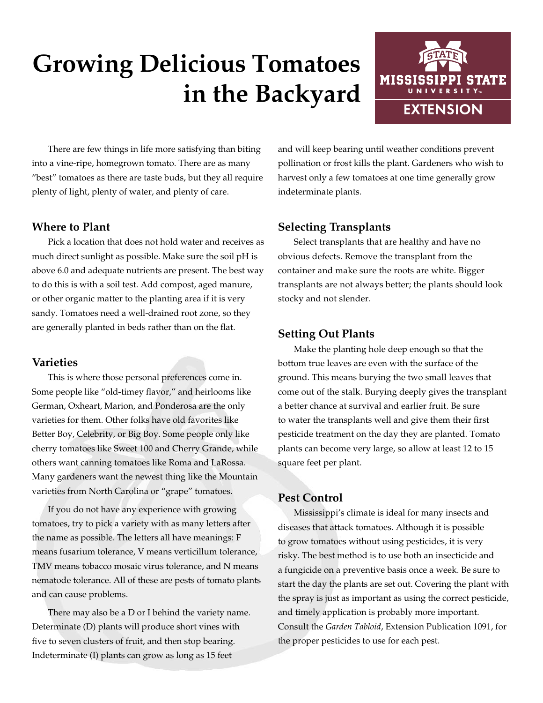# **Growing Delicious Tomatoes in the Backyard**



There are few things in life more satisfying than biting into a vine-ripe, homegrown tomato. There are as many "best" tomatoes as there are taste buds, but they all require plenty of light, plenty of water, and plenty of care.

#### **Where to Plant**

Pick a location that does not hold water and receives as much direct sunlight as possible. Make sure the soil pH is above 6.0 and adequate nutrients are present. The best way to do this is with a soil test. Add compost, aged manure, or other organic matter to the planting area if it is very sandy. Tomatoes need a well-drained root zone, so they are generally planted in beds rather than on the flat.

#### **Varieties**

This is where those personal preferences come in. Some people like "old-timey flavor," and heirlooms like German, Oxheart, Marion, and Ponderosa are the only varieties for them. Other folks have old favorites like Better Boy, Celebrity, or Big Boy. Some people only like cherry tomatoes like Sweet 100 and Cherry Grande, while others want canning tomatoes like Roma and LaRossa. Many gardeners want the newest thing like the Mountain varieties from North Carolina or "grape" tomatoes.

If you do not have any experience with growing tomatoes, try to pick a variety with as many letters after the name as possible. The letters all have meanings: F means fusarium tolerance, V means verticillum tolerance, TMV means tobacco mosaic virus tolerance, and N means nematode tolerance. All of these are pests of tomato plants and can cause problems.

There may also be a D or I behind the variety name. Determinate (D) plants will produce short vines with five to seven clusters of fruit, and then stop bearing. Indeterminate (I) plants can grow as long as 15 feet

and will keep bearing until weather conditions prevent pollination or frost kills the plant. Gardeners who wish to harvest only a few tomatoes at one time generally grow indeterminate plants.

#### **Selecting Transplants**

Select transplants that are healthy and have no obvious defects. Remove the transplant from the container and make sure the roots are white. Bigger transplants are not always better; the plants should look stocky and not slender.

#### **Setting Out Plants**

Make the planting hole deep enough so that the bottom true leaves are even with the surface of the ground. This means burying the two small leaves that come out of the stalk. Burying deeply gives the transplant a better chance at survival and earlier fruit. Be sure to water the transplants well and give them their first pesticide treatment on the day they are planted. Tomato plants can become very large, so allow at least 12 to 15 square feet per plant.

#### **Pest Control**

Mississippi's climate is ideal for many insects and diseases that attack tomatoes. Although it is possible to grow tomatoes without using pesticides, it is very risky. The best method is to use both an insecticide and a fungicide on a preventive basis once a week. Be sure to start the day the plants are set out. Covering the plant with the spray is just as important as using the correct pesticide, and timely application is probably more important. Consult the *Garden Tabloid*, Extension Publication 1091, for the proper pesticides to use for each pest.